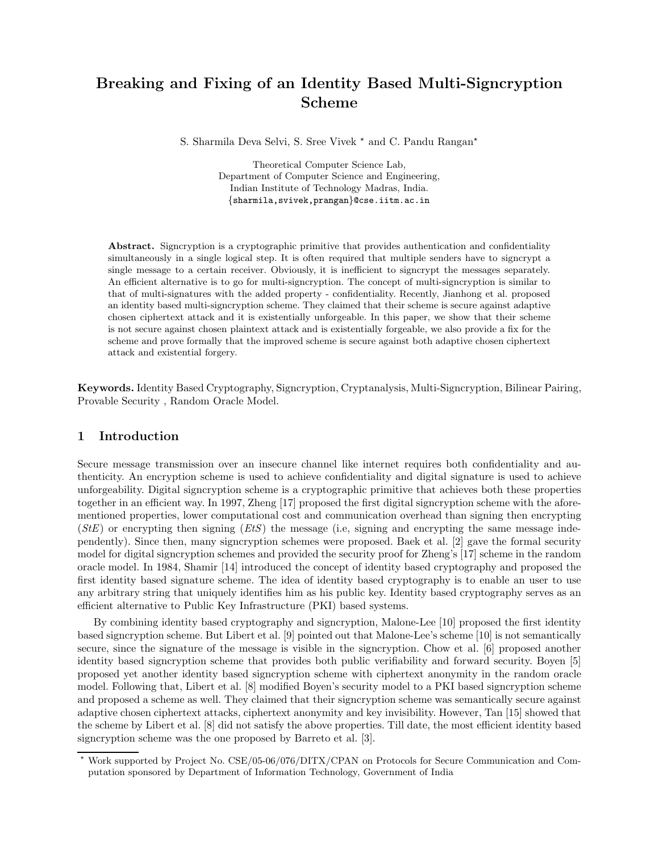# Breaking and Fixing of an Identity Based Multi-Signcryption Scheme

S. Sharmila Deva Selvi, S. Sree Vivek  $*$  and C. Pandu Rangan<sup>\*</sup>

Theoretical Computer Science Lab, Department of Computer Science and Engineering, Indian Institute of Technology Madras, India. {sharmila,svivek,prangan}@cse.iitm.ac.in

Abstract. Signcryption is a cryptographic primitive that provides authentication and confidentiality simultaneously in a single logical step. It is often required that multiple senders have to signcrypt a single message to a certain receiver. Obviously, it is inefficient to signcrypt the messages separately. An efficient alternative is to go for multi-signcryption. The concept of multi-signcryption is similar to that of multi-signatures with the added property - confidentiality. Recently, Jianhong et al. proposed an identity based multi-signcryption scheme. They claimed that their scheme is secure against adaptive chosen ciphertext attack and it is existentially unforgeable. In this paper, we show that their scheme is not secure against chosen plaintext attack and is existentially forgeable, we also provide a fix for the scheme and prove formally that the improved scheme is secure against both adaptive chosen ciphertext attack and existential forgery.

Keywords. Identity Based Cryptography, Signcryption, Cryptanalysis, Multi-Signcryption, Bilinear Pairing, Provable Security , Random Oracle Model.

# 1 Introduction

Secure message transmission over an insecure channel like internet requires both confidentiality and authenticity. An encryption scheme is used to achieve confidentiality and digital signature is used to achieve unforgeability. Digital signcryption scheme is a cryptographic primitive that achieves both these properties together in an efficient way. In 1997, Zheng [17] proposed the first digital signcryption scheme with the aforementioned properties, lower computational cost and communication overhead than signing then encrypting  $(StE)$  or encrypting then signing  $(EtS)$  the message (i.e, signing and encrypting the same message independently). Since then, many signcryption schemes were proposed. Baek et al. [2] gave the formal security model for digital signcryption schemes and provided the security proof for Zheng's [17] scheme in the random oracle model. In 1984, Shamir [14] introduced the concept of identity based cryptography and proposed the first identity based signature scheme. The idea of identity based cryptography is to enable an user to use any arbitrary string that uniquely identifies him as his public key. Identity based cryptography serves as an efficient alternative to Public Key Infrastructure (PKI) based systems.

By combining identity based cryptography and signcryption, Malone-Lee [10] proposed the first identity based signcryption scheme. But Libert et al. [9] pointed out that Malone-Lee's scheme [10] is not semantically secure, since the signature of the message is visible in the signcryption. Chow et al. [6] proposed another identity based signcryption scheme that provides both public verifiability and forward security. Boyen [5] proposed yet another identity based signcryption scheme with ciphertext anonymity in the random oracle model. Following that, Libert et al. [8] modified Boyen's security model to a PKI based signcryption scheme and proposed a scheme as well. They claimed that their signcryption scheme was semantically secure against adaptive chosen ciphertext attacks, ciphertext anonymity and key invisibility. However, Tan [15] showed that the scheme by Libert et al. [8] did not satisfy the above properties. Till date, the most efficient identity based signcryption scheme was the one proposed by Barreto et al. [3].

<sup>!</sup> Work supported by Project No. CSE/05-06/076/DITX/CPAN on Protocols for Secure Communication and Computation sponsored by Department of Information Technology, Government of India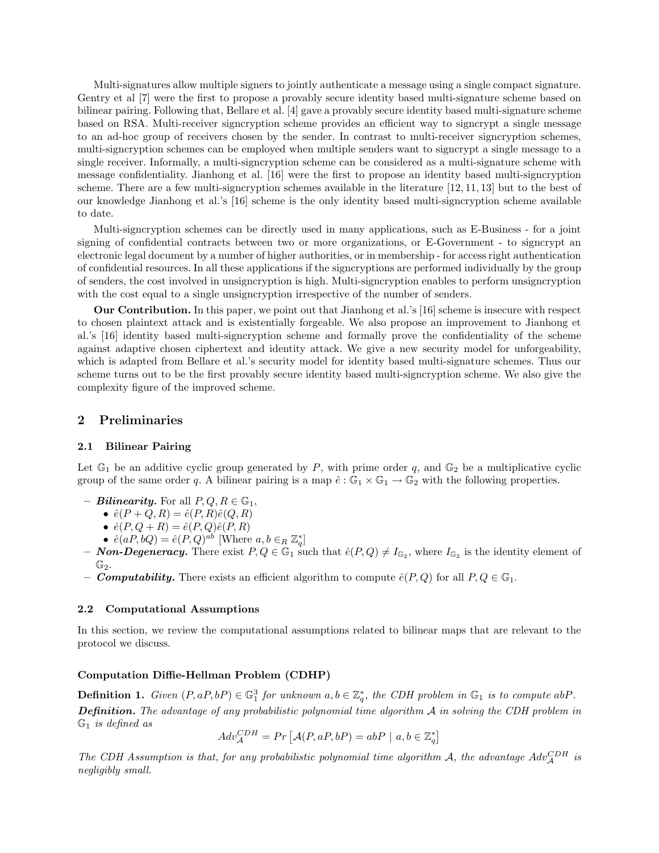Multi-signatures allow multiple signers to jointly authenticate a message using a single compact signature. Gentry et al [7] were the first to propose a provably secure identity based multi-signature scheme based on bilinear pairing. Following that, Bellare et al. [4] gave a provably secure identity based multi-signature scheme based on RSA. Multi-receiver signcryption scheme provides an efficient way to signcrypt a single message to an ad-hoc group of receivers chosen by the sender. In contrast to multi-receiver signcryption schemes, multi-signcryption schemes can be employed when multiple senders want to signcrypt a single message to a single receiver. Informally, a multi-signcryption scheme can be considered as a multi-signature scheme with message confidentiality. Jianhong et al. [16] were the first to propose an identity based multi-signcryption scheme. There are a few multi-signcryption schemes available in the literature [12, 11, 13] but to the best of our knowledge Jianhong et al.'s [16] scheme is the only identity based multi-signcryption scheme available to date.

Multi-signcryption schemes can be directly used in many applications, such as E-Business - for a joint signing of confidential contracts between two or more organizations, or E-Government - to signcrypt an electronic legal document by a number of higher authorities, or in membership - for access right authentication of confidential resources. In all these applications if the signcryptions are performed individually by the group of senders, the cost involved in unsigncryption is high. Multi-signcryption enables to perform unsigncryption with the cost equal to a single unsigncryption irrespective of the number of senders.

Our Contribution. In this paper, we point out that Jianhong et al.'s [16] scheme is insecure with respect to chosen plaintext attack and is existentially forgeable. We also propose an improvement to Jianhong et al.'s [16] identity based multi-signcryption scheme and formally prove the confidentiality of the scheme against adaptive chosen ciphertext and identity attack. We give a new security model for unforgeability, which is adapted from Bellare et al.'s security model for identity based multi-signature schemes. Thus our scheme turns out to be the first provably secure identity based multi-signcryption scheme. We also give the complexity figure of the improved scheme.

### 2 Preliminaries

#### 2.1 Bilinear Pairing

Let  $\mathbb{G}_1$  be an additive cyclic group generated by P, with prime order q, and  $\mathbb{G}_2$  be a multiplicative cyclic group of the same order q. A bilinear pairing is a map  $\hat{e}: \mathbb{G}_1 \times \mathbb{G}_1 \to \mathbb{G}_2$  with the following properties.

- **Bilinearity.** For all  $P, Q, R \in \mathbb{G}_1$ ,
	- $\hat{e}(P+Q,R) = \hat{e}(P,R)\hat{e}(Q,R)$
	- $\hat{e}(P, Q + R) = \hat{e}(P, Q)\hat{e}(P, R)$
	- $\hat{e}(aP, bQ) = \hat{e}(P, Q)^{ab}$  [Where  $a, b \in_R \mathbb{Z}_q^*$ ]
- **Non-Degeneracy.** There exist  $P, Q \in \mathbb{G}_1$  such that  $\hat{e}(P, Q) \neq I_{\mathbb{G}_2}$ , where  $I_{\mathbb{G}_2}$  is the identity element of  $\mathbb{G}_2$ .
- **Computability.** There exists an efficient algorithm to compute  $\hat{e}(P,Q)$  for all  $P,Q \in \mathbb{G}_1$ .

#### 2.2 Computational Assumptions

In this section, we review the computational assumptions related to bilinear maps that are relevant to the protocol we discuss.

#### Computation Diffie-Hellman Problem (CDHP)

**Definition 1.** Given  $(P, aP, bP) \in \mathbb{G}_1^3$  for unknown  $a, b \in \mathbb{Z}_q^*$ , the CDH problem in  $\mathbb{G}_1$  is to compute abP. **Definition.** The advantage of any probabilistic polynomial time algorithm  $A$  in solving the CDH problem in  $\mathbb{G}_1$  is defined as

$$
Adv_{\mathcal{A}}^{CDH} = Pr\left[\mathcal{A}(P, aP, bP) = abP \mid a, b \in \mathbb{Z}_q^*\right]
$$

The CDH Assumption is that, for any probabilistic polynomial time algorithm A, the advantage  $Adv_{\mathcal{A}}^{CDH}$  is negligibly small.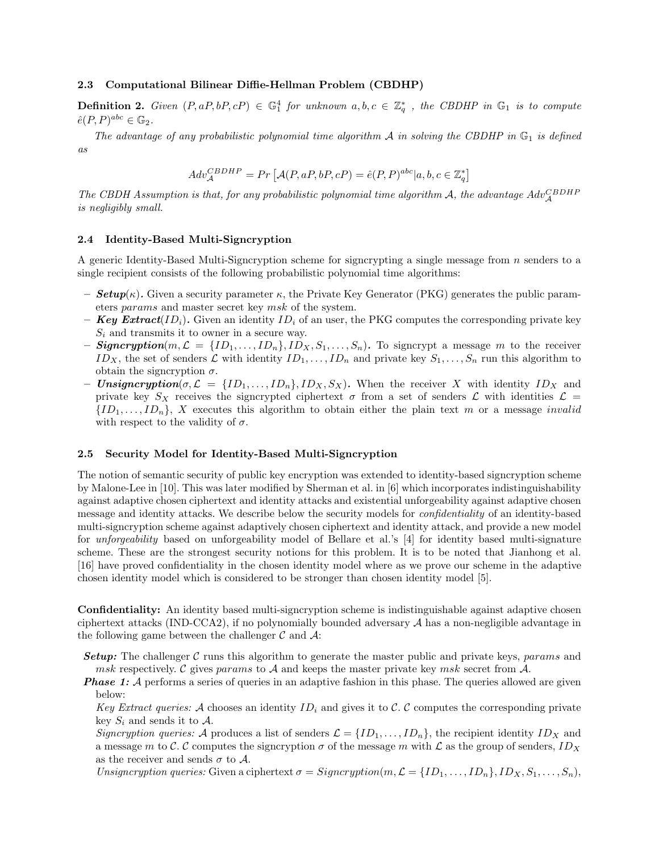#### 2.3 Computational Bilinear Diffie-Hellman Problem (CBDHP)

**Definition 2.** Given  $(P, aP, bP, cP) \in \mathbb{G}_1^4$  for unknown  $a, b, c \in \mathbb{Z}_q^*$ , the CBDHP in  $\mathbb{G}_1$  is to compute  $\hat{e}(P, P)^{abc} \in \mathbb{G}_2.$ 

The advantage of any probabilistic polynomial time algorithm  $A$  in solving the CBDHP in  $\mathbb{G}_1$  is defined as

$$
Adv_{\mathcal{A}}^{CBDHP} = Pr \left[ \mathcal{A}(P, aP, bP, cP) = \hat{e}(P, P)^{abc} | a, b, c \in \mathbb{Z}_q^* \right]
$$

The CBDH Assumption is that, for any probabilistic polynomial time algorithm  $A$ , the advantage  $Adv_{\mathcal{A}}^{CBDHP}$ is negligibly small.

#### 2.4 Identity-Based Multi-Signcryption

A generic Identity-Based Multi-Signcryption scheme for signcrypting a single message from n senders to a single recipient consists of the following probabilistic polynomial time algorithms:

- **Setup**( $\kappa$ ). Given a security parameter  $\kappa$ , the Private Key Generator (PKG) generates the public parameters params and master secret key msk of the system.
- **Key Extract**( $ID_i$ ). Given an identity  $ID_i$  of an user, the PKG computes the corresponding private key  $S_i$  and transmits it to owner in a secure way.
- **Signcryption** $(m, \mathcal{L} = \{ID_1, \ldots, ID_n\}, ID_X, S_1, \ldots, S_n)$ . To signcrypt a message m to the receiver ID<sub>X</sub>, the set of senders L with identity  $ID_1, \ldots, ID_n$  and private key  $S_1, \ldots, S_n$  run this algorithm to obtain the signcryption  $\sigma$ .
- Unsigncryption( $\sigma, \mathcal{L} = \{ID_1, \ldots, ID_n\}, ID_X, S_X$ ). When the receiver X with identity  $ID_X$  and private key  $S_X$  receives the signcrypted ciphertext  $\sigma$  from a set of senders  $\mathcal L$  with identities  $\mathcal L$  =  ${ID_1, \ldots, ID_n}, X$  executes this algorithm to obtain either the plain text m or a message invalid with respect to the validity of  $\sigma$ .

#### 2.5 Security Model for Identity-Based Multi-Signcryption

The notion of semantic security of public key encryption was extended to identity-based signcryption scheme by Malone-Lee in [10]. This was later modified by Sherman et al. in [6] which incorporates indistinguishability against adaptive chosen ciphertext and identity attacks and existential unforgeability against adaptive chosen message and identity attacks. We describe below the security models for confidentiality of an identity-based multi-signcryption scheme against adaptively chosen ciphertext and identity attack, and provide a new model for unforgeability based on unforgeability model of Bellare et al.'s [4] for identity based multi-signature scheme. These are the strongest security notions for this problem. It is to be noted that Jianhong et al. [16] have proved confidentiality in the chosen identity model where as we prove our scheme in the adaptive chosen identity model which is considered to be stronger than chosen identity model [5].

Confidentiality: An identity based multi-signcryption scheme is indistinguishable against adaptive chosen ciphertext attacks (IND-CCA2), if no polynomially bounded adversary  $A$  has a non-negligible advantage in the following game between the challenger  $\mathcal C$  and  $\mathcal A$ :

- **Setup:** The challenger C runs this algorithm to generate the master public and private keys, params and msk respectively. C gives params to A and keeps the master private key msk secret from  $\mathcal{A}$ .
- **Phase 1:** A performs a series of queries in an adaptive fashion in this phase. The queries allowed are given below:

Key Extract queries: A chooses an identity  $ID_i$  and gives it to C. C computes the corresponding private key  $S_i$  and sends it to  $\mathcal{A}$ .

Signcryption queries: A produces a list of senders  $\mathcal{L} = \{ID_1, \ldots, ID_n\}$ , the recipient identity  $ID_X$  and a message m to C. C computes the signcryption  $\sigma$  of the message m with L as the group of senders,  $ID_X$ as the receiver and sends  $\sigma$  to  $\mathcal{A}$ .

Unsigncryption queries: Given a ciphertext  $\sigma = Signcription(m, \mathcal{L} = \{ID_1, \ldots, ID_n\}, ID_X, S_1, \ldots, S_n)$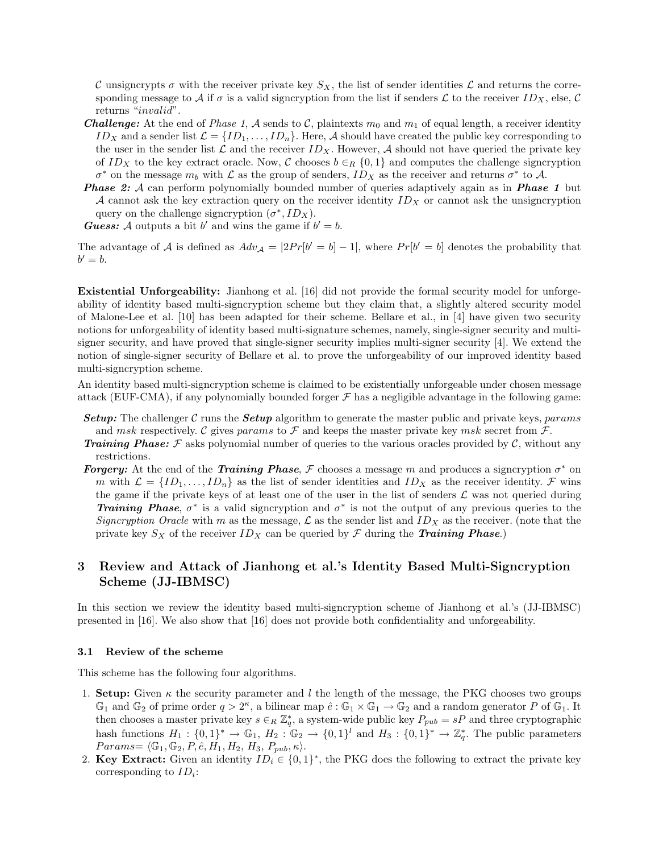C unsigncrypts  $\sigma$  with the receiver private key  $S_X$ , the list of sender identities  $\mathcal L$  and returns the corresponding message to A if  $\sigma$  is a valid signcryption from the list if senders L to the receiver  $ID_X$ , else, C returns "*invalid*".

- **Challenge:** At the end of Phase 1, A sends to C, plaintexts  $m_0$  and  $m_1$  of equal length, a receiver identity  $ID_X$  and a sender list  $\mathcal{L} = \{ID_1, \ldots, ID_n\}$ . Here, A should have created the public key corresponding to the user in the sender list  $\mathcal L$  and the receiver  $ID_X$ . However,  $\mathcal A$  should not have queried the private key of ID<sub>X</sub> to the key extract oracle. Now, C chooses  $b \in_R \{0,1\}$  and computes the challenge signcryption  $\sigma^*$  on the message  $m_b$  with  $\mathcal L$  as the group of senders,  $ID_X$  as the receiver and returns  $\sigma^*$  to  $\mathcal A$ .
- **Phase 2:** A can perform polynomially bounded number of queries adaptively again as in **Phase 1** but A cannot ask the key extraction query on the receiver identity  $ID<sub>X</sub>$  or cannot ask the unsigncryption query on the challenge signcryption  $(\sigma^*, ID_X)$ .

**Guess:** A outputs a bit b' and wins the game if  $b' = b$ .

The advantage of A is defined as  $Adv_{\mathcal{A}} = |2Pr[b' = b] - 1|$ , where  $Pr[b' = b]$  denotes the probability that  $b'=b.$ 

Existential Unforgeability: Jianhong et al. [16] did not provide the formal security model for unforgeability of identity based multi-signcryption scheme but they claim that, a slightly altered security model of Malone-Lee et al. [10] has been adapted for their scheme. Bellare et al., in [4] have given two security notions for unforgeability of identity based multi-signature schemes, namely, single-signer security and multisigner security, and have proved that single-signer security implies multi-signer security [4]. We extend the notion of single-signer security of Bellare et al. to prove the unforgeability of our improved identity based multi-signcryption scheme.

An identity based multi-signcryption scheme is claimed to be existentially unforgeable under chosen message attack (EUF-CMA), if any polynomially bounded forger  $\mathcal F$  has a negligible advantage in the following game:

- **Setup:** The challenger C runs the **Setup** algorithm to generate the master public and private keys, params and msk respectively. C gives params to F and keeps the master private key msk secret from  $\mathcal{F}$ .
- **Training Phase:**  $\mathcal F$  asks polynomial number of queries to the various oracles provided by  $\mathcal C$ , without any restrictions.
- **Forgery:** At the end of the Training Phase, F chooses a message m and produces a signcryption  $\sigma^*$  on m with  $\mathcal{L} = \{ID_1, \ldots, ID_n\}$  as the list of sender identities and  $ID_X$  as the receiver identity. F wins the game if the private keys of at least one of the user in the list of senders  $\mathcal L$  was not queried during **Training Phase**,  $\sigma^*$  is a valid signcryption and  $\sigma^*$  is not the output of any previous queries to the Signcryption Oracle with m as the message,  $\mathcal{L}$  as the sender list and  $ID_X$  as the receiver. (note that the private key  $S_X$  of the receiver  $ID_X$  can be queried by  $\mathcal F$  during the Training Phase.)

# 3 Review and Attack of Jianhong et al.'s Identity Based Multi-Signcryption Scheme (JJ-IBMSC)

In this section we review the identity based multi-signcryption scheme of Jianhong et al.'s (JJ-IBMSC) presented in [16]. We also show that [16] does not provide both confidentiality and unforgeability.

#### 3.1 Review of the scheme

This scheme has the following four algorithms.

- 1. Setup: Given  $\kappa$  the security parameter and l the length of the message, the PKG chooses two groups  $\mathbb{G}_1$  and  $\mathbb{G}_2$  of prime order  $q > 2^{\kappa}$ , a bilinear map  $\hat{e}: \mathbb{G}_1 \times \mathbb{G}_1 \to \mathbb{G}_2$  and a random generator P of  $\mathbb{G}_1$ . It then chooses a master private key  $s \in_R \mathbb{Z}_q^*$ , a system-wide public key  $P_{pub} = sP$  and three cryptographic hash functions  $H_1: \{0,1\}^* \to \mathbb{G}_1$ ,  $H_2: \mathbb{G}_2 \to \{0,1\}^l$  and  $H_3: \{0,1\}^* \to \mathbb{Z}_q^*$ . The public parameters  $Parameters = \langle \mathbb{G}_1, \mathbb{G}_2, P, \hat{e}, H_1, H_2, H_3, P_{pub}, \kappa \rangle.$
- 2. Key Extract: Given an identity  $ID_i \in \{0,1\}^*$ , the PKG does the following to extract the private key corresponding to  $ID_i$ :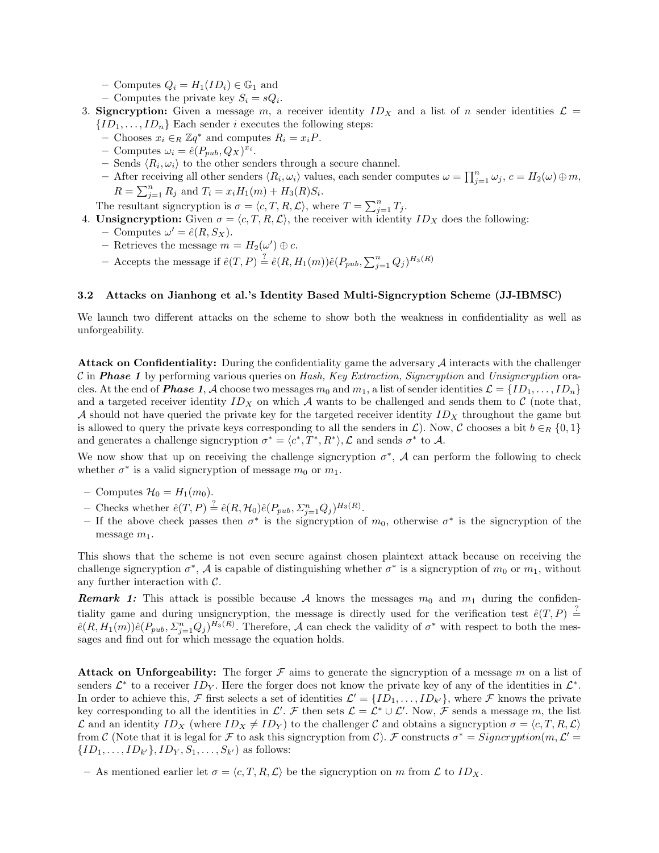- Computes  $Q_i = H_1(ID_i) \in \mathbb{G}_1$  and
- Computes the private key  $S_i = sQ_i$ .
- 3. Signcryption: Given a message m, a receiver identity  $ID<sub>X</sub>$  and a list of n sender identities  $\mathcal{L} =$  ${ID_1, \ldots, ID_n}$  Each sender *i* executes the following steps:
	- Chooses  $x_i$  ∈<sub>R</sub>  $\mathbb{Z}q^*$  and computes  $R_i = x_iP$ .
	- Computes  $\omega_i = \hat{e}(P_{pub}, Q_X)^{x_i}$ .
	- Sends  $\langle R_i, \omega_i \rangle$  to the other senders through a secure channel.
	- After receiving all other senders  $\langle R_i, \omega_i \rangle$  values, each sender computes  $\omega = \prod_{j=1}^n \omega_j$ ,  $c = H_2(\omega) \oplus m$ ,  $R = \sum_{j=1}^{n} R_j$  and  $T_i = x_i H_1(m) + H_3(R) S_i$ .

The resultant signcryption is  $\sigma = \langle c, T, R, \mathcal{L} \rangle$ , where  $T = \sum_{j=1}^{n} T_j$ .

4. **Unsigncryption:** Given  $\sigma = \langle c, T, R, \mathcal{L} \rangle$ , the receiver with identity  $ID_X$  does the following:

- Computes  $\omega' = \hat{e}(R, S_X)$ .
- Retrieves the message  $m = H_2(\omega') \oplus c$ .
- Accepts the message if  $\hat{e}(T, P) \stackrel{?}{=} \hat{e}(R, H_1(m))\hat{e}(P_{pub}, \sum_{j=1}^n Q_j)^{H_3(R)}$

#### 3.2 Attacks on Jianhong et al.'s Identity Based Multi-Signcryption Scheme (JJ-IBMSC)

We launch two different attacks on the scheme to show both the weakness in confidentiality as well as unforgeability.

**Attack on Confidentiality:** During the confidentiality game the adversary  $A$  interacts with the challenger C in **Phase 1** by performing various queries on Hash, Key Extraction, Signcryption and Unsigncryption oracles. At the end of **Phase 1**, A choose two messages  $m_0$  and  $m_1$ , a list of sender identities  $\mathcal{L} = \{ID_1, \ldots, ID_n\}$ and a targeted receiver identity  $ID_X$  on which A wants to be challenged and sends them to C (note that, A should not have queried the private key for the targeted receiver identity  $ID<sub>X</sub>$  throughout the game but is allowed to query the private keys corresponding to all the senders in  $\mathcal{L}$ ). Now, C chooses a bit  $b \in_R \{0,1\}$ and generates a challenge signcryption  $\sigma^* = \langle c^*, T^*, R^* \rangle$ ,  $\mathcal L$  and sends  $\sigma^*$  to  $\mathcal A$ .

We now show that up on receiving the challenge signcryption  $\sigma^*$ , A can perform the following to check whether  $\sigma^*$  is a valid signcryption of message  $m_0$  or  $m_1$ .

- Computes  $\mathcal{H}_0 = H_1(m_0)$ .
- Checks whether  $\hat{e}(T, P) \stackrel{?}{=} \hat{e}(R, \mathcal{H}_0)\hat{e}(P_{pub}, \Sigma_{j=1}^n Q_j)^{H_3(R)}$ .
- If the above check passes then  $\sigma^*$  is the signcryption of  $m_0$ , otherwise  $\sigma^*$  is the signcryption of the message  $m_1$ .

This shows that the scheme is not even secure against chosen plaintext attack because on receiving the challenge signcryption  $\sigma^*$ , A is capable of distinguishing whether  $\sigma^*$  is a signcryption of  $m_0$  or  $m_1$ , without any further interaction with C.

**Remark 1:** This attack is possible because A knows the messages  $m_0$  and  $m_1$  during the confidentiality game and during unsigncryption, the message is directly used for the verification test  $\hat{e}(T, P) \stackrel{?}{=}$  $\hat{e}(R, H_1(m))\hat{e}(P_{pub}, \Sigma_{j=1}^n Q_j)^{H_3(R)}$ . Therefore, A can check the validity of  $\sigma^*$  with respect to both the messages and find out for which message the equation holds.

**Attack on Unforgeability:** The forger  $\mathcal F$  aims to generate the signcryption of a message m on a list of senders  $\mathcal{L}^*$  to a receiver  $ID_Y$ . Here the forger does not know the private key of any of the identities in  $\mathcal{L}^*$ . In order to achieve this, F first selects a set of identities  $\mathcal{L}' = \{ID_1, \ldots, ID_{k'}\}$ , where F knows the private key corresponding to all the identities in  $\mathcal{L}'$ .  $\mathcal{F}$  then sets  $\mathcal{L} = \mathcal{L}^* \cup \mathcal{L}'$ . Now,  $\mathcal{F}$  sends a message m, the list  $\mathcal L$  and an identity  $ID_X$  (where  $ID_X \neq ID_Y$ ) to the challenger C and obtains a signcryption  $\sigma = \langle c, T, R, \mathcal L \rangle$ from C (Note that it is legal for F to ask this signcryption from C). F constructs  $\sigma^* = Signeryption(m, \mathcal{L}' =$  $\{ID_1, \ldots, ID_{k'}\}, ID_Y, S_1, \ldots, S_{k'}\}$  as follows:

– As mentioned earlier let  $\sigma = \langle c, T, R, \mathcal{L} \rangle$  be the signcryption on m from  $\mathcal L$  to  $ID_X$ .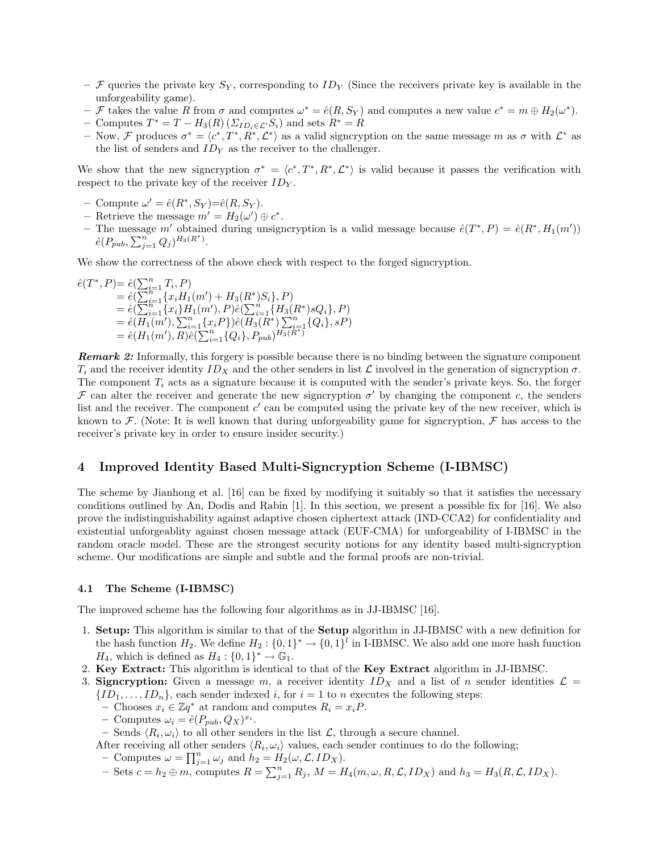- F queries the private key  $S_Y$ , corresponding to  $ID_Y$  (Since the receivers private key is available in the unforgeability game).
- F takes the value R from  $\sigma$  and computes  $\omega^* = \hat{e}(R, S_Y)$  and computes a new value  $c^* = m \oplus H_2(\omega^*)$ .
- Computes  $T^* = T H_3(R) \left( \sum_{ID_i \in \mathcal{L}'} S_i \right)$  and sets  $R^* = R$
- Now, F produces  $\sigma^* = \langle c^*, T^*, R^*, \mathcal{L}^* \rangle$  as a valid signcryption on the same message m as  $\sigma$  with  $\mathcal{L}^*$  as the list of senders and  $ID<sub>Y</sub>$  as the receiver to the challenger.

We show that the new signcryption  $\sigma^* = \langle c^*, T^*, R^*, \mathcal{L}^* \rangle$  is valid because it passes the verification with respect to the private key of the receiver  $ID<sub>Y</sub>$ .

- Compute  $\omega' = \hat{e}(R^*, S_Y) = \hat{e}(R, S_Y)$ .
- Retrieve the message  $m' = H_2(\omega') \oplus c^*$ .
- The message m' obtained during unsigncryption is a valid message because  $\hat{e}(T^*,P) = \hat{e}(R^*,H_1(m'))$  $\hat{e}(P_{pub}, \sum_{j=1}^{n} Q_{j})^{H_{3}(R^{*})}.$

We show the correctness of the above check with respect to the forged signcryption.

$$
\begin{aligned}\n\hat{e}(T^*, P) &= \hat{e}(\sum_{i=1}^n T_i, P) \\
&= \hat{e}(\sum_{i=1}^n \{x_i H_1(m') + H_3(R^*)S_i\}, P) \\
&= \hat{e}(\sum_{i=1}^n \{x_i\} H_1(m'), P)\hat{e}(\sum_{i=1}^n \{H_3(R^*)sQ_i\}, P) \\
&= \hat{e}(H_1(m'), \sum_{i=1}^n \{x_i P\})\hat{e}(H_3(R^*)\sum_{i=1}^n \{Q_i\}, sP) \\
&= \hat{e}(H_1(m'), R)\hat{e}(\sum_{i=1}^n \{Q_i\}, P_{pub})^{H_3(R^*)}\n\end{aligned}
$$

**Remark 2:** Informally, this forgery is possible because there is no binding between the signature component  $T_i$  and the receiver identity  $ID_X$  and the other senders in list  $\mathcal L$  involved in the generation of signcryption  $\sigma$ . The component  $T_i$  acts as a signature because it is computed with the sender's private keys. So, the forger  $\mathcal F$  can alter the receiver and generate the new signcryption  $\sigma'$  by changing the component c, the senders list and the receiver. The component  $c'$  can be computed using the private key of the new receiver, which is known to F. (Note: It is well known that during unforgeability game for signcryption, F has access to the receiver's private key in order to ensure insider security.)

# 4 Improved Identity Based Multi-Signcryption Scheme (I-IBMSC)

The scheme by Jianhong et al. [16] can be fixed by modifying it suitably so that it satisfies the necessary conditions outlined by An, Dodis and Rabin [1]. In this section, we present a possible fix for [16]. We also prove the indistinguishability against adaptive chosen ciphertext attack (IND-CCA2) for confidentiality and existential unforgeablity against chosen message attack (EUF-CMA) for unforgeability of I-IBMSC in the random oracle model. These are the strongest security notions for any identity based multi-signcryption scheme. Our modifications are simple and subtle and the formal proofs are non-trivial.

#### 4.1 The Scheme (I-IBMSC)

The improved scheme has the following four algorithms as in JJ-IBMSC [16].

- 1. Setup: This algorithm is similar to that of the Setup algorithm in JJ-IBMSC with a new definition for the hash function  $H_2$ . We define  $H_2: \{0,1\}^* \to \{0,1\}^l$  in I-IBMSC. We also add one more hash function  $H_4$ , which is defined as  $H_4: \{0,1\}^* \to \mathbb{G}_1$ .
- 2. Key Extract: This algorithm is identical to that of the Key Extract algorithm in JJ-IBMSC.
- 3. Signcryption: Given a message m, a receiver identity  $ID<sub>X</sub>$  and a list of n sender identities  $\mathcal{L} =$  $\{ID_1, \ldots, ID_n\}$ , each sender indexed i, for  $i = 1$  to n executes the following steps:
	- Chooses  $x_i$  ∈  $\mathbb{Z}q^*$  at random and computes  $R_i = x_iP$ .
	- Computes  $\omega_i = \hat{e}(P_{pub}, Q_X)^{x_i}$ .
	- Sends  $\langle R_i, \omega_i \rangle$  to all other senders in the list  $\mathcal{L}$ , through a secure channel.
	- After receiving all other senders  $\langle R_i, \omega_i \rangle$  values, each sender continues to do the following;
	- Computes  $\omega = \prod_{j=1}^n \omega_j$  and  $h_2 = H_2(\omega, \mathcal{L}, ID_X)$ .
	- Sets  $c = h_2 \oplus m$ , computes  $R = \sum_{j=1}^n R_j$ ,  $M = H_4(m, \omega, R, \mathcal{L}, ID_X)$  and  $h_3 = H_3(R, \mathcal{L}, ID_X)$ .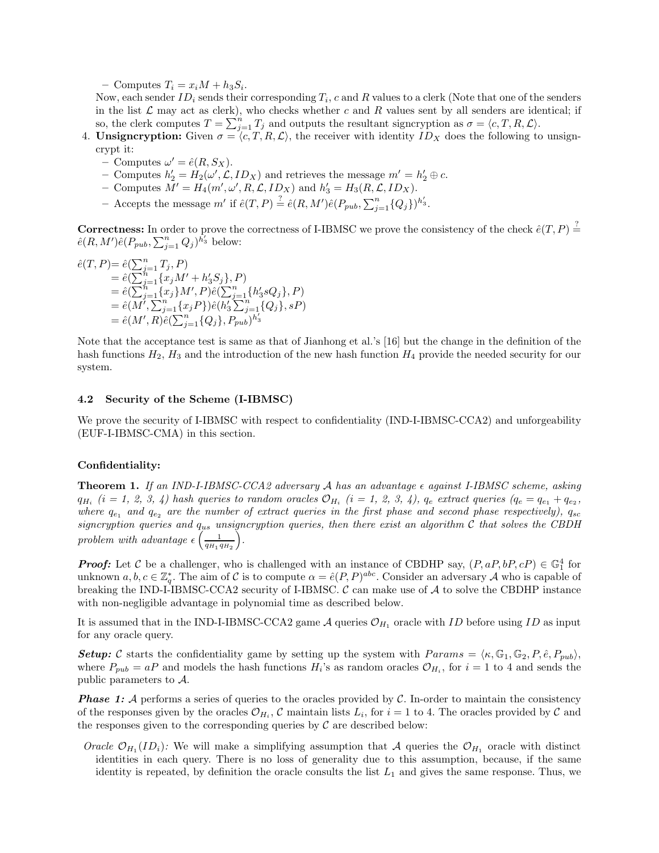– Computes  $T_i = x_i M + h_3 S_i$ .

Now, each sender  $ID_i$  sends their corresponding  $T_i$ , c and R values to a clerk (Note that one of the senders in the list  $\mathcal L$  may act as clerk), who checks whether c and R values sent by all senders are identical; if so, the clerk computes  $T = \sum_{j=1}^{n} T_j$  and outputs the resultant signcryption as  $\sigma = \langle c, T, R, L \rangle$ .

4. Unsigncryption: Given  $\sigma = \langle c, T, R, \mathcal{L} \rangle$ , the receiver with identity  $ID_X$  does the following to unsigncrypt it:

- Computes  $\omega' = \hat{e}(R, S_X)$ .
- Computes  $h'_2 = H_2(\omega', \mathcal{L}, ID_X)$  and retrieves the message  $m' = h'_2 \oplus c$ .
- Computes  $M' = H_4(m', \omega', R, \mathcal{L}, ID_X)$  and  $h'_3 = H_3(R, \mathcal{L}, ID_X)$ .
- Accepts the message m' if  $\hat{e}(T, P) \stackrel{?}{=} \hat{e}(R, M')\hat{e}(P_{pub}, \sum_{j=1}^{n} \{Q_j\})^{h'_3}$ .

**Correctness:** In order to prove the correctness of I-IBMSC we prove the consistency of the check  $\hat{e}(T, P) \stackrel{?}{=}$  $\hat{e}(R, M')\hat{e}(P_{pub}, \sum_{j=1}^{n} Q_j)^{\bar{h}'_3}$  below:

$$
\begin{aligned} \hat{e}(T,P) &= \hat{e}(\sum_{j=1}^{n} T_j,P) \\ &= \hat{e}(\sum_{j=1}^{n} \{x_j M' + h'_3 S_j\},P) \\ &= \hat{e}(\sum_{j=1}^{n} \{x_j\} M',P) \hat{e}(\sum_{j=1}^{n} \{h'_3 s Q_j\},P) \\ &= \hat{e}(M',\sum_{j=1}^{n} \{x_j P\}) \hat{e}(h'_3 \sum_{j=1}^{n} \{Q_j\},sp) \\ &= \hat{e}(M',R) \hat{e}(\sum_{j=1}^{n} \{Q_j\},P_{pub})^{h'_3} \end{aligned}
$$

Note that the acceptance test is same as that of Jianhong et al.'s [16] but the change in the definition of the hash functions  $H_2$ ,  $H_3$  and the introduction of the new hash function  $H_4$  provide the needed security for our system.

#### 4.2 Security of the Scheme (I-IBMSC)

We prove the security of I-IBMSC with respect to confidentiality (IND-I-IBMSC-CCA2) and unforgeability (EUF-I-IBMSC-CMA) in this section.

#### Confidentiality:

**Theorem 1.** If an IND-I-IBMSC-CCA2 adversary A has an advantage  $\epsilon$  against I-IBMSC scheme, asking  $q_{H_i}$  (i = 1, 2, 3, 4) hash queries to random oracles  $\mathcal{O}_{H_i}$  (i = 1, 2, 3, 4),  $q_e$  extract queries ( $q_e = q_{e_1} + q_{e_2}$ , where  $q_{e_1}$  and  $q_{e_2}$  are the number of extract queries in the first phase and second phase respectively),  $q_{sc}$ signcryption queries and  $q_{us}$  unsigncryption queries, then there exist an algorithm  $C$  that solves the CBDH problem with advantage  $\epsilon \left( \frac{1}{g_H} \right)$  $q_{H_1} q_{H_2}$  $\bigg)$  .

**Proof:** Let C be a challenger, who is challenged with an instance of CBDHP say,  $(P, aP, bP, cP) \in \mathbb{G}_1^4$  for unknown  $a, b, c \in \mathbb{Z}_{q}^{*}$ . The aim of C is to compute  $\alpha = \hat{e}(P, P)^{abc}$ . Consider an adversary A who is capable of breaking the IND-I-IBMSC-CCA2 security of I-IBMSC.  $\mathcal C$  can make use of  $\mathcal A$  to solve the CBDHP instance with non-negligible advantage in polynomial time as described below.

It is assumed that in the IND-I-IBMSC-CCA2 game  $\mathcal A$  queries  $\mathcal O_{H_1}$  oracle with ID before using ID as input for any oracle query.

**Setup:** C starts the confidentiality game by setting up the system with  $Params = \langle \kappa, \mathbb{G}_1, \mathbb{G}_2, P, \hat{e}, P_{pub} \rangle$ , where  $P_{pub} = aP$  and models the hash functions  $H_i$ 's as random oracles  $\mathcal{O}_{H_i}$ , for  $i = 1$  to 4 and sends the public parameters to A.

**Phase 1:** A performs a series of queries to the oracles provided by C. In-order to maintain the consistency of the responses given by the oracles  $\mathcal{O}_{H_i}$ ,  $\mathcal C$  maintain lists  $L_i$ , for  $i = 1$  to 4. The oracles provided by  $\mathcal C$  and the responses given to the corresponding queries by  $\mathcal C$  are described below:

Oracle  $\mathcal{O}_{H_1}(ID_i)$ : We will make a simplifying assumption that A queries the  $\mathcal{O}_{H_1}$  oracle with distinct identities in each query. There is no loss of generality due to this assumption, because, if the same identity is repeated, by definition the oracle consults the list  $L_1$  and gives the same response. Thus, we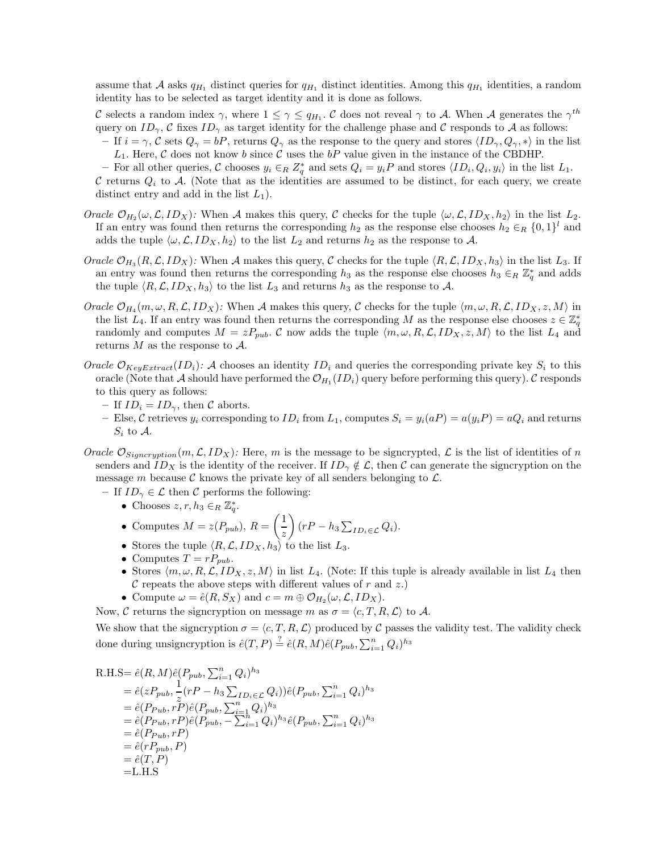assume that A asks  $q_{H_1}$  distinct queries for  $q_{H_1}$  distinct identities. Among this  $q_{H_1}$  identities, a random identity has to be selected as target identity and it is done as follows.

C selects a random index  $\gamma$ , where  $1 \leq \gamma \leq q_{H_1}$ . C does not reveal  $\gamma$  to A. When A generates the  $\gamma^{th}$ query on  $ID_{\gamma}$ , C fixes  $ID_{\gamma}$  as target identity for the challenge phase and C responds to A as follows:

- If  $i = \gamma$ , C sets  $Q_{\gamma} = bP$ , returns  $Q_{\gamma}$  as the response to the query and stores  $\langle ID_{\gamma}, Q_{\gamma}, * \rangle$  in the list  $L_1$ . Here, C does not know b since C uses the bP value given in the instance of the CBDHP.
- − For all other queries,  $\mathcal C$  chooses  $y_i \in_R Z^*_q$  and sets  $Q_i = y_iP$  and stores  $\langle ID_i, Q_i, y_i \rangle$  in the list  $L_1$ .
- C returns  $Q_i$  to A. (Note that as the identities are assumed to be distinct, for each query, we create distinct entry and add in the list  $L_1$ ).
- Oracle  $\mathcal{O}_{H_2}(\omega,\mathcal{L},ID_X)$ : When A makes this query, C checks for the tuple  $\langle \omega,\mathcal{L},ID_X,h_2 \rangle$  in the list  $L_2$ . If an entry was found then returns the corresponding  $h_2$  as the response else chooses  $h_2 \in_R \{0, 1\}^l$  and adds the tuple  $\langle \omega, \mathcal{L}, ID_X, h_2 \rangle$  to the list  $L_2$  and returns  $h_2$  as the response to A.
- Oracle  $\mathcal{O}_{H_3}(R,\mathcal{L},ID_X)$ : When A makes this query, C checks for the tuple  $\langle R,\mathcal{L},ID_X,h_3\rangle$  in the list  $L_3$ . If an entry was found then returns the corresponding  $h_3$  as the response else chooses  $h_3 \in_R \mathbb{Z}_q^*$  and adds the tuple  $\langle R, \mathcal{L}, ID_X, h_3 \rangle$  to the list  $L_3$  and returns  $h_3$  as the response to A.
- Oracle  $\mathcal{O}_{H_4}(m,\omega,R,\mathcal{L},ID_X)$ : When A makes this query, C checks for the tuple  $\langle m,\omega,R,\mathcal{L},ID_X,z,M\rangle$  in the list  $L_4$ . If an entry was found then returns the corresponding M as the response else chooses  $z \in \mathbb{Z}_q^*$ randomly and computes  $M = zP_{pub}$ . C now adds the tuple  $\langle m, \omega, R, \mathcal{L}, ID_X, z, M \rangle$  to the list  $L_4$  and returns  $M$  as the response to  $\mathcal{A}$ .
- Oracle  $\mathcal{O}_{KeyExtract}(ID_i):$  A chooses an identity  $ID_i$  and queries the corresponding private key  $S_i$  to this oracle (Note that A should have performed the  $\mathcal{O}_{H_1}(ID_i)$  query before performing this query). C responds to this query as follows:
	- If  $ID_i = ID_\gamma$ , then C aborts.
	- Else, C retrieves  $y_i$  corresponding to  $ID_i$  from  $L_1$ , computes  $S_i = y_i(aP) = a(y_iP) = aQ_i$  and returns  $S_i$  to  $\mathcal{A}$ .
- Oracle  $\mathcal{O}_{Signcription}(m, \mathcal{L}, ID_X)$ : Here, m is the message to be signcrypted,  $\mathcal{L}$  is the list of identities of n senders and  $ID_X$  is the identity of the receiver. If  $ID_\gamma \notin \mathcal{L}$ , then C can generate the signcryption on the message m because  $\mathcal C$  knows the private key of all senders belonging to  $\mathcal L$ .
	- If  $ID_{\gamma} \in \mathcal{L}$  then  $\mathcal{C}$  performs the following:
		- Chooses  $z, r, h_3 \in_R \mathbb{Z}_q^*$ .
		- Computes  $M = z(P_{pub}), R = \left(\frac{1}{z}\right)$  $\setminus$  $(rP - h_3 \sum_{ID_i \in \mathcal{L}} Q_i).$
		- Stores the tuple  $\langle R, \mathcal{L}, ID_X, h_3 \rangle$  to the list  $L_3$ .
		- Computes  $T = rP_{pub}$ .
		- Stores  $\langle m, \omega, R, \mathcal{L}, ID_X, z, M \rangle$  in list  $L_4$ . (Note: If this tuple is already available in list  $L_4$  then  $\mathcal C$  repeats the above steps with different values of r and z.)
		- Compute  $\omega = \hat{e}(R, S_X)$  and  $c = m \oplus \mathcal{O}_{H_2}(\omega, \mathcal{L}, ID_X)$ .
	- Now, C returns the signcryption on message m as  $\sigma = \langle c, T, R, \mathcal{L} \rangle$  to A.

We show that the signcryption  $\sigma = \langle c, T, R, \mathcal{L} \rangle$  produced by C passes the validity test. The validity check done during unsigncryption is  $\hat{e}(T, P) \stackrel{?}{=} \hat{e}(R, M)\hat{e}(P_{pub}, \sum_{i=1}^{n} Q_i)^{h_3}$ 

R.H.S= 
$$
\hat{e}(R, M)\hat{e}(P_{pub}, \sum_{i=1}^{n} Q_i)^{h_3}
$$
  
\n=  $\hat{e}(zP_{pub}, \frac{1}{z}(rP - h_3 \sum_{ID_i \in \mathcal{L}} Q_i))\hat{e}(P_{pub}, \sum_{i=1}^{n} Q_i)^{h_3}$   
\n=  $\hat{e}(P_{Pub}, rP)\hat{e}(P_{pub}, \sum_{i=1}^{n} Q_i)^{h_3}$   
\n=  $\hat{e}(P_{Pub}, rP)\hat{e}(P_{pub}, -\sum_{i=1}^{n} Q_i)^{h_3}\hat{e}(P_{pub}, \sum_{i=1}^{n} Q_i)^{h_3}$   
\n=  $\hat{e}(P_{pub}, rP)$   
\n=  $\hat{e}(rP_{pub}, P)$   
\n=  $\hat{e}(r, P)$   
\n= L.H.S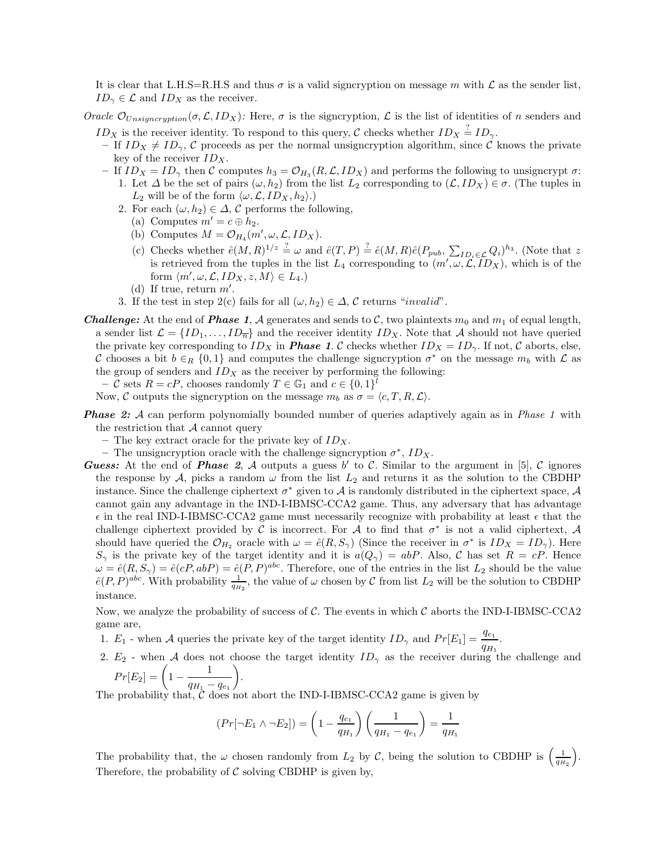It is clear that L.H.S=R.H.S and thus  $\sigma$  is a valid signcryption on message m with  $\mathcal L$  as the sender list,  $ID_{\gamma} \in \mathcal{L}$  and  $ID_X$  as the receiver.

Oracle  $\mathcal{O}_{\text{Unsigncription}}(\sigma, \mathcal{L}, ID_X)$ : Here,  $\sigma$  is the signcryption,  $\mathcal{L}$  is the list of identities of n senders and

- $ID_X$  is the receiver identity. To respond to this query, C checks whether  $ID_X \stackrel{?}{=} ID_{\gamma}$ . – If  $ID_X \neq ID_\gamma$ , C proceeds as per the normal unsigncryption algorithm, since C knows the private key of the receiver  $ID_X$ .
- If  $ID_X = ID_\gamma$  then C computes  $h_3 = O_{H_3}(R, \mathcal{L}, ID_X)$  and performs the following to unsigncrypt  $\sigma$ : 1. Let  $\Delta$  be the set of pairs  $(\omega, h_2)$  from the list  $L_2$  corresponding to  $(\mathcal{L}, ID_X) \in \sigma$ . (The tuples in  $L_2$  will be of the form  $\langle \omega, \mathcal{L}, ID_X, h_2 \rangle$ .)
	- 2. For each  $(\omega, h_2) \in \Delta$ , C performs the following,
		- (a) Computes  $m' = c \oplus h_2$ .
		- (b) Computes  $M = \mathcal{O}_{H_4}(m', \omega, \mathcal{L}, ID_X)$ .
		- (c) Checks whether  $\hat{e}(M,R)^{1/z} = \omega$  and  $\hat{e}(T,P) = \hat{e}(M,R)\hat{e}(P_{pub}, \sum_{ID_i \in \mathcal{L}} Q_i)^{h_3}$ . (Note that z is retrieved from the tuples in the list  $L_4$  corresponding to  $(m', \omega, \mathcal{L}, ID_X)$ , which is of the form  $\langle m', \omega, \mathcal{L}, ID_X, z, M \rangle \in L_4.$
		- (d) If true, return  $m'$ .
	- 3. If the test in step 2(c) fails for all  $(\omega, h_2) \in \Delta$ , C returns "invalid".
- **Challenge:** At the end of **Phase 1**, A generates and sends to C, two plaintexts  $m_0$  and  $m_1$  of equal length, a sender list  $\mathcal{L} = \{ID_1, \ldots, ID_{\overline{n}}\}$  and the receiver identity  $ID_X$ . Note that A should not have queried the private key corresponding to  $ID_X$  in **Phase 1.** C checks whether  $ID_X = ID_\gamma$ . If not, C aborts, else, C chooses a bit  $b \in_R \{0,1\}$  and computes the challenge signcryption  $\sigma^*$  on the message  $m_b$  with  $\mathcal L$  as the group of senders and  $ID<sub>X</sub>$  as the receiver by performing the following:
	- C sets  $R = cP$ , chooses randomly  $T \in \mathbb{G}_1$  and  $c \in \{0,1\}^l$
	- Now, C outputs the signcryption on the message  $m_b$  as  $\sigma = \langle c, T, R, \mathcal{L} \rangle$ .
- **Phase 2:** A can perform polynomially bounded number of queries adaptively again as in Phase 1 with the restriction that  $A$  cannot query
	- The key extract oracle for the private key of  $ID<sub>X</sub>$ .
	- The unsigncryption oracle with the challenge signcryption  $\sigma^*$ ,  $ID_X$ .
- **Guess:** At the end of **Phase** 2, A outputs a guess b' to C. Similar to the argument in [5], C ignores the response by A, picks a random  $\omega$  from the list  $L_2$  and returns it as the solution to the CBDHP instance. Since the challenge ciphertext  $\sigma^*$  given to A is randomly distributed in the ciphertext space, A cannot gain any advantage in the IND-I-IBMSC-CCA2 game. Thus, any adversary that has advantage  $\epsilon$  in the real IND-I-IBMSC-CCA2 game must necessarily recognize with probability at least  $\epsilon$  that the challenge ciphertext provided by C is incorrect. For A to find that  $\sigma^*$  is not a valid ciphertext, A should have queried the  $\mathcal{O}_{H_2}$  oracle with  $\omega = \hat{e}(R, S_{\gamma})$  (Since the receiver in  $\sigma^*$  is  $ID_X = ID_{\gamma}$ ). Here  $S_{\gamma}$  is the private key of the target identity and it is  $a(Q_{\gamma}) = abP$ . Also, C has set  $R = cP$ . Hence  $\omega = \hat{e}(R, S_{\gamma}) = \hat{e}(cP, abP) = \hat{e}(P, P)^{abc}$ . Therefore, one of the entries in the list  $L_2$  should be the value  $\hat{e}(P,P)^{abc}$ . With probability  $\frac{1}{q_{H_2}}$ , the value of  $\omega$  chosen by C from list  $L_2$  will be the solution to CBDHP instance.

Now, we analyze the probability of success of  $\mathcal{C}$ . The events in which  $\mathcal{C}$  aborts the IND-I-IBMSC-CCA2 game are,

- 1.  $E_1$  when A queries the private key of the target identity  $ID_{\gamma}$  and  $Pr[E_1] = \frac{q_{e_1}}{q_{H_1}}$ .
- 2.  $E_2$  when A does not choose the target identity  $ID_\gamma$  as the receiver during the challenge and  $\setminus$ .

$$
Pr[E_2] = \left(1 - \frac{1}{q_{H_1} - q_{e_1}}\right)
$$

The probability that,  $\tilde{C}$  does not abort the IND-I-IBMSC-CCA2 game is given by

$$
(Pr[\neg E_1 \land \neg E_2]) = \left(1 - \frac{q_{e_1}}{q_{H_1}}\right) \left(\frac{1}{q_{H_1} - q_{e_1}}\right) = \frac{1}{q_{H_1}}
$$

The probability that, the  $\omega$  chosen randomly from  $L_2$  by C, being the solution to CBDHP is  $\left(\frac{1}{q_H}\right)$  $q_{H_2}$  $\overline{)}$ . Therefore, the probability of  $\mathcal C$  solving CBDHP is given by,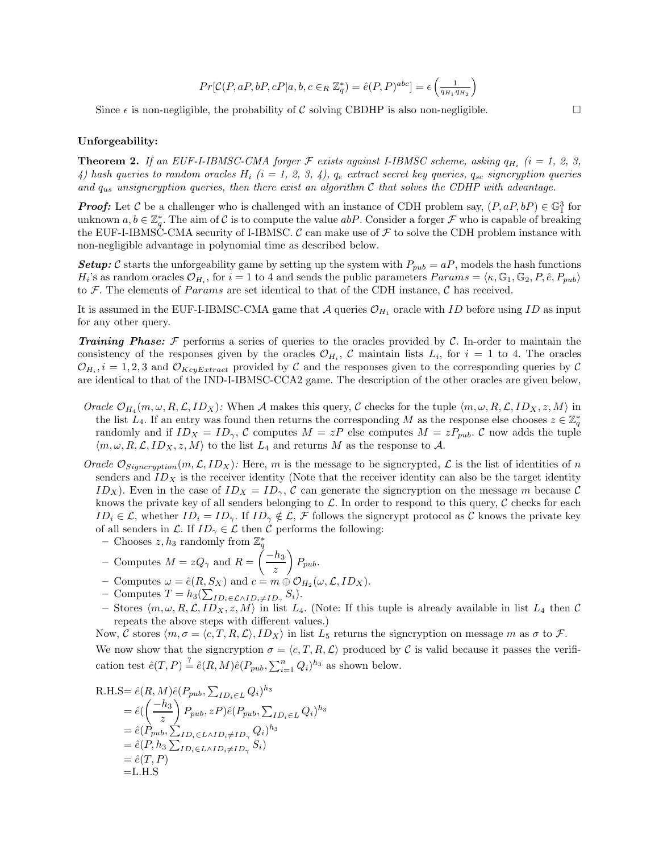$$
Pr[\mathcal{C}(P,aP,bP,cP|a,b,c \in_R \mathbb{Z}_q^*) = \hat{e}(P,P)^{abc}] = \epsilon \left( \tfrac{1}{q_{H_1}q_{H_2}} \right)
$$

Since  $\epsilon$  is non-negligible, the probability of C solving CBDHP is also non-negligible.  $\Box$ 

#### Unforgeability:

**Theorem 2.** If an EUF-I-IBMSC-CMA forger  $\mathcal F$  exists against I-IBMSC scheme, asking  $q_{H_i}$  (i = 1, 2, 3, 4) hash queries to random oracles  $H_i$  (i = 1, 2, 3, 4),  $q_e$  extract secret key queries,  $q_{sc}$  signcryption queries and  $q_{us}$  unsigncryption queries, then there exist an algorithm C that solves the CDHP with advantage.

**Proof:** Let C be a challenger who is challenged with an instance of CDH problem say,  $(P, aP, bP) \in \mathbb{G}_1^3$  for unknown  $a, b \in \mathbb{Z}_q^*$ . The aim of C is to compute the value  $abP$ . Consider a forger  $\mathcal F$  who is capable of breaking the EUF-I-IBMSC-CMA security of I-IBMSC. C can make use of  $\mathcal F$  to solve the CDH problem instance with non-negligible advantage in polynomial time as described below.

**Setup:** C starts the unforgeability game by setting up the system with  $P_{pub} = aP$ , models the hash functions  $H_i$ 's as random oracles  $\mathcal{O}_{H_i}$ , for  $i = 1$  to 4 and sends the public parameters  $Params = \langle \kappa, \mathbb{G}_1, \mathbb{G}_2, P, \hat{e}, P_{pub} \rangle$ to F. The elements of *Params* are set identical to that of the CDH instance,  $\mathcal{C}$  has received.

It is assumed in the EUF-I-IBMSC-CMA game that  $\mathcal A$  queries  $\mathcal O_{H_1}$  oracle with ID before using ID as input for any other query.

**Training Phase:** F performs a series of queries to the oracles provided by C. In-order to maintain the consistency of the responses given by the oracles  $\mathcal{O}_{H_i}$ , C maintain lists  $L_i$ , for  $i = 1$  to 4. The oracles  $\mathcal{O}_{H_i}$ ,  $i = 1, 2, 3$  and  $\mathcal{O}_{KeyExtract}$  provided by C and the responses given to the corresponding queries by C are identical to that of the IND-I-IBMSC-CCA2 game. The description of the other oracles are given below,

- Oracle  $\mathcal{O}_{H_4}(m,\omega,R,\mathcal{L},ID_X)$ : When A makes this query, C checks for the tuple  $\langle m,\omega,R,\mathcal{L},ID_X,z,M\rangle$  in the list  $L_4$ . If an entry was found then returns the corresponding M as the response else chooses  $z \in \mathbb{Z}_q^*$ randomly and if  $ID_X = ID_\gamma$ , C computes  $M = zP$  else computes  $M = zP_{pub}$ . C now adds the tuple  $\langle m, \omega, R, \mathcal{L}, ID_X, z, M \rangle$  to the list  $L_4$  and returns M as the response to A.
- Oracle  $\mathcal{O}_{Signcription}(m, \mathcal{L}, ID_X)$ : Here, m is the message to be signcrypted,  $\mathcal{L}$  is the list of identities of n senders and  $ID<sub>X</sub>$  is the receiver identity (Note that the receiver identity can also be the target identity  $ID_X$ ). Even in the case of  $ID_X = ID_\gamma$ , C can generate the signcryption on the message m because C knows the private key of all senders belonging to  $\mathcal{L}$ . In order to respond to this query,  $\mathcal{C}$  checks for each  $ID_i \in \mathcal{L}$ , whether  $ID_i = ID_{\gamma}$ . If  $ID_{\gamma} \notin \mathcal{L}$ , F follows the signcrypt protocol as C knows the private key of all senders in  $\mathcal{L}$ . If  $ID_{\gamma} \in \mathcal{L}$  then C performs the following:
	- Chooses  $z, h_3$  randomly from  $\mathbb{Z}_q^*$
	- Computes  $M = zQ_{\gamma}$  and  $R = \left(\frac{-h_3}{z}\right)$  $\setminus$  $P_{pub}.$
	- Computes  $\omega = \hat{e}(R, S_X)$  and  $c = m \oplus O_{H_2}(\omega, \mathcal{L}, ID_X)$ .
	- $-$  Computes  $T = h_3(\sum_{ID_i \in \mathcal{L} \land ID_i \neq ID_\gamma} S_i)$ .
	- Stores  $\langle m, \omega, R, \mathcal{L}, ID_X, z, M \rangle$  in list  $L_4$ . (Note: If this tuple is already available in list  $L_4$  then C repeats the above steps with different values.)

Now, C stores  $\langle m, \sigma = \langle c, T, R, \mathcal{L} \rangle, ID_X \rangle$  in list  $L_5$  returns the signcryption on message m as  $\sigma$  to F. We now show that the signcryption  $\sigma = \langle c, T, R, L \rangle$  produced by C is valid because it passes the verification test  $\hat{e}(T, P) \stackrel{?}{=} \hat{e}(R, M)\hat{e}(P_{pub}, \sum_{i=1}^{n} Q_i)^{h_3}$  as shown below.

R.H.S=
$$
\hat{e}(R, M)\hat{e}(P_{pub}, \sum_{ID_i \in L} Q_i)^{h_3}
$$
  
\n= $\hat{e}(\left(\frac{-h_3}{z}\right) P_{pub}, zP)\hat{e}(P_{pub}, \sum_{ID_i \in L} Q_i)^{h_3}$   
\n= $\hat{e}(P_{pub}, \sum_{ID_i \in L \land ID_i \neq ID_{\gamma}} Q_i)^{h_3}$   
\n= $\hat{e}(P, h_3 \sum_{ID_i \in L \land ID_i \neq ID_{\gamma}} S_i)$   
\n= $\hat{e}(T, P)$   
\n=L.H.S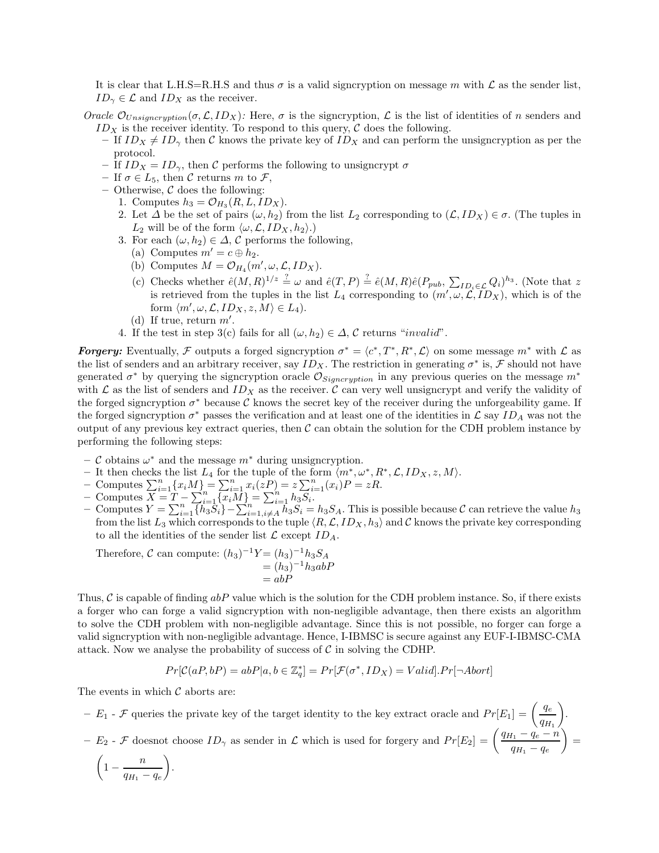It is clear that L.H.S=R.H.S and thus  $\sigma$  is a valid signcryption on message m with  $\mathcal L$  as the sender list,  $ID_{\gamma} \in \mathcal{L}$  and  $ID_X$  as the receiver.

- Oracle  $\mathcal{O}_{\text{Unsigncription}}(\sigma, \mathcal{L}, ID_X)$ : Here,  $\sigma$  is the signcryption,  $\mathcal{L}$  is the list of identities of n senders and  $ID<sub>X</sub>$  is the receiver identity. To respond to this query,  $C$  does the following.
	- If  $ID_X \neq ID_\gamma$  then C knows the private key of  $ID_X$  and can perform the unsigncryption as per the protocol.
	- If  $ID_X = ID_\gamma$ , then C performs the following to unsigncrypt  $\sigma$
	- If  $\sigma \in L_5$ , then C returns m to F,
	- Otherwise,  $C$  does the following:
		- 1. Computes  $h_3 = \mathcal{O}_{H_3}(R, L, ID_X)$ .
		- 2. Let  $\Delta$  be the set of pairs  $(\omega, h_2)$  from the list  $L_2$  corresponding to  $(\mathcal{L}, ID_X) \in \sigma$ . (The tuples in  $L_2$  will be of the form  $\langle \omega, \mathcal{L}, ID_X, h_2 \rangle$ .)
		- 3. For each  $(\omega, h_2) \in \Delta$ , C performs the following,
			- (a) Computes  $m' = c \oplus h_2$ .
			- (b) Computes  $M = \mathcal{O}_{H_4}(m', \omega, \mathcal{L}, ID_X)$ .
			- (c) Checks whether  $\hat{e}(M,R)^{1/z} = \omega$  and  $\hat{e}(T,P) = \hat{e}(M,R)\hat{e}(P_{pub}, \sum_{ID_i \in \mathcal{L}} Q_i)^{h_3}$ . (Note that z is retrieved from the tuples in the list  $L_4$  corresponding to  $(m', \omega, \mathcal{L}, ID_X)$ , which is of the form  $\langle m', \omega, \mathcal{L}, ID_X, z, M \rangle \in L_4$ .
			- (d) If true, return  $m'$ .
		- 4. If the test in step 3(c) fails for all  $(\omega, h_2) \in \Delta$ , C returns "invalid".

**Forgery:** Eventually, F outputs a forged signcryption  $\sigma^* = \langle c^*, T^*, R^*, \mathcal{L} \rangle$  on some message  $m^*$  with  $\mathcal{L}$  as the list of senders and an arbitrary receiver, say  $ID_X$ . The restriction in generating  $\sigma^*$  is, F should not have generated  $\sigma^*$  by querying the signcryption oracle  $\mathcal{O}_{Signcription}$  in any previous queries on the message  $m^*$ with  $\mathcal L$  as the list of senders and  $ID_X$  as the receiver.  $\mathcal C$  can very well unsigncrypt and verify the validity of the forged signcryption  $\sigma^*$  because C knows the secret key of the receiver during the unforgeability game. If the forged signcryption  $\sigma^*$  passes the verification and at least one of the identities in  $\mathcal L$  say  $ID_A$  was not the output of any previous key extract queries, then  $\mathcal C$  can obtain the solution for the CDH problem instance by performing the following steps:

- C obtains ω<sup>∗</sup> and the message m<sup>∗</sup> during unsigncryption.
- It then checks the list  $L_4$  for the tuple of the form  $\langle m^*, \omega^*, R^*, \mathcal{L}, ID_X, z, M \rangle$ .<br>
− Computes  $\sum_{i=1}^n \{x_iM\} = \sum_{i=1}^n x_i(zP) = z\sum_{i=1}^n (x_i)P = zR$ .
- 
- Computes  $\overline{X} = \overline{T} \sum_{i=1}^{n} \overline{x_i M}_i = \sum_{i=1}^{n} h_3 \overline{S}_i$ .
- $\tilde{C}$  Computes  $Y = \sum_{i=1}^{n} {h_3 \overline{S_i}} \sum_{i=1, i \neq A}^{n} h_3 \overline{S_i} = h_3 S_A$ . This is possible because  $\cal{C}$  can retrieve the value  $h_3$ from the list  $L_3$  which corresponds to the tuple  $\langle R, \mathcal{L}, ID_X, h_3 \rangle$  and C knows the private key corresponding to all the identities of the sender list  $\mathcal L$  except  $ID_A$ .

Therefore,  $C$  can compute:  $(h_3)^{-1}Y = (h_3)^{-1}h_3S_A$  $=(h_3)^{-1}h_3abP$  $= abF$ 

Thus,  $\mathcal C$  is capable of finding  $abP$  value which is the solution for the CDH problem instance. So, if there exists a forger who can forge a valid signcryption with non-negligible advantage, then there exists an algorithm to solve the CDH problem with non-negligible advantage. Since this is not possible, no forger can forge a valid signcryption with non-negligible advantage. Hence, I-IBMSC is secure against any EUF-I-IBMSC-CMA attack. Now we analyse the probability of success of  $\mathcal C$  in solving the CDHP.

$$
Pr[\mathcal{C}(aP, bP) = abP|a, b \in \mathbb{Z}_q^*] = Pr[\mathcal{F}(\sigma^*, ID_X) = Valid].Pr[\neg Abort]
$$

The events in which  $\mathcal C$  aborts are:

-  $E_1$  -  $\mathcal F$  queries the private key of the target identity to the key extract oracle and  $Pr[E_1] = \left(\frac{q_e}{q_{H_1}}\right)$  $\setminus$ .  $-E_2$  - F doesnot choose  $ID_\gamma$  as sender in L which is used for forgery and  $Pr[E_2] = \left(\frac{q_{H_1} - q_e - n}{q_{H_1} - q_e}\right)$  $\setminus$ =  $\left(1-\frac{n}{q_{H_1}-q_e}\right)$  $\setminus$ .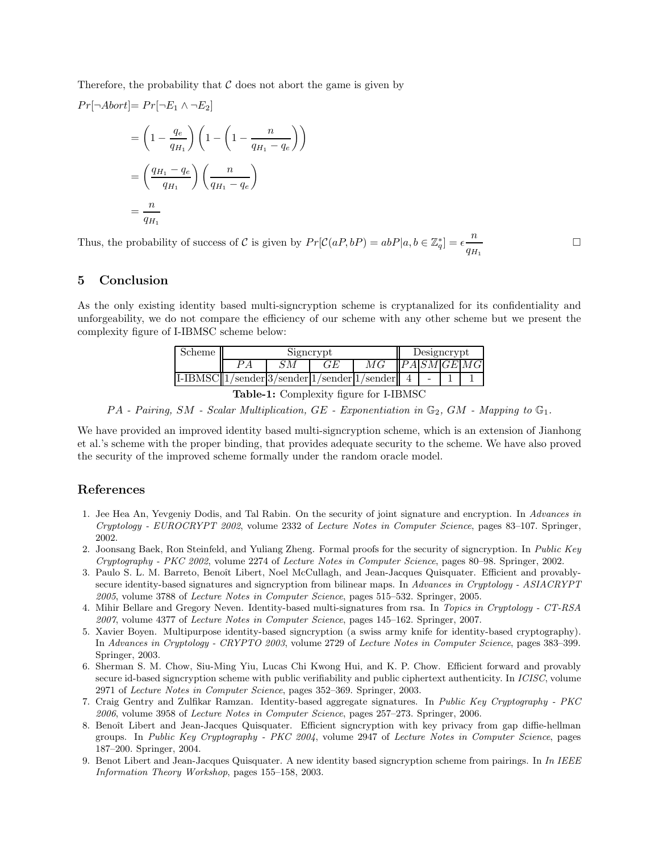Therefore, the probability that  $\mathcal C$  does not abort the game is given by

$$
Pr[\neg \text{Abort}] = Pr[\neg E_1 \land \neg E_2]
$$
  
=  $\left(1 - \frac{q_e}{q_{H_1}}\right) \left(1 - \left(1 - \frac{n}{q_{H_1} - q_e}\right)\right)$   
=  $\left(\frac{q_{H_1} - q_e}{q_{H_1}}\right) \left(\frac{n}{q_{H_1} - q_e}\right)$   
=  $\frac{n}{q_{H_1}}$ 

Thus, the probability of success of C is given by  $Pr[\mathcal{C}(aP, bP) = abP|a, b \in \mathbb{Z}_q^*] = \epsilon \frac{n}{q_{H_1}}$ 

# 5 Conclusion

As the only existing identity based multi-signcryption scheme is cryptanalized for its confidentiality and unforgeability, we do not compare the efficiency of our scheme with any other scheme but we present the complexity figure of I-IBMSC scheme below:

 $\Box$ 

| scheme                                             | Signcrypt |  |      |  | Designcrypt |  |  |             |
|----------------------------------------------------|-----------|--|------|--|-------------|--|--|-------------|
|                                                    |           |  | (7F) |  |             |  |  | PA SM GE MG |
| $I-IBMSC  1/sender 3/sender 1/sender 1/sender  4 $ |           |  |      |  |             |  |  |             |
| $\mathsf{r}$ the trace                             |           |  |      |  |             |  |  |             |

Table-1: Complexity figure for I-IBMSC

 $PA$  - Pairing, SM - Scalar Multiplication, GE - Exponentiation in  $\mathbb{G}_2$ , GM - Mapping to  $\mathbb{G}_1$ .

We have provided an improved identity based multi-signcryption scheme, which is an extension of Jianhong et al.'s scheme with the proper binding, that provides adequate security to the scheme. We have also proved the security of the improved scheme formally under the random oracle model.

# References

- 1. Jee Hea An, Yevgeniy Dodis, and Tal Rabin. On the security of joint signature and encryption. In Advances in Cryptology - EUROCRYPT 2002, volume 2332 of Lecture Notes in Computer Science, pages 83–107. Springer, 2002.
- 2. Joonsang Baek, Ron Steinfeld, and Yuliang Zheng. Formal proofs for the security of signcryption. In Public Key Cryptography - PKC 2002, volume 2274 of Lecture Notes in Computer Science, pages 80–98. Springer, 2002.
- 3. Paulo S. L. M. Barreto, Benoît Libert, Noel McCullagh, and Jean-Jacques Quisquater. Efficient and provablysecure identity-based signatures and signcryption from bilinear maps. In Advances in Cryptology - ASIACRYPT 2005, volume 3788 of Lecture Notes in Computer Science, pages 515–532. Springer, 2005.
- 4. Mihir Bellare and Gregory Neven. Identity-based multi-signatures from rsa. In Topics in Cryptology CT-RSA 2007, volume 4377 of Lecture Notes in Computer Science, pages 145–162. Springer, 2007.
- 5. Xavier Boyen. Multipurpose identity-based signcryption (a swiss army knife for identity-based cryptography). In Advances in Cryptology - CRYPTO 2003, volume 2729 of Lecture Notes in Computer Science, pages 383–399. Springer, 2003.
- 6. Sherman S. M. Chow, Siu-Ming Yiu, Lucas Chi Kwong Hui, and K. P. Chow. Efficient forward and provably secure id-based signcryption scheme with public verifiability and public ciphertext authenticity. In ICISC, volume 2971 of Lecture Notes in Computer Science, pages 352–369. Springer, 2003.
- 7. Craig Gentry and Zulfikar Ramzan. Identity-based aggregate signatures. In Public Key Cryptography PKC 2006, volume 3958 of Lecture Notes in Computer Science, pages 257–273. Springer, 2006.
- 8. Benoît Libert and Jean-Jacques Quisquater. Efficient signcryption with key privacy from gap diffie-hellman groups. In Public Key Cryptography - PKC 2004, volume 2947 of Lecture Notes in Computer Science, pages 187–200. Springer, 2004.
- 9. Benot Libert and Jean-Jacques Quisquater. A new identity based signcryption scheme from pairings. In In IEEE Information Theory Workshop, pages 155–158, 2003.